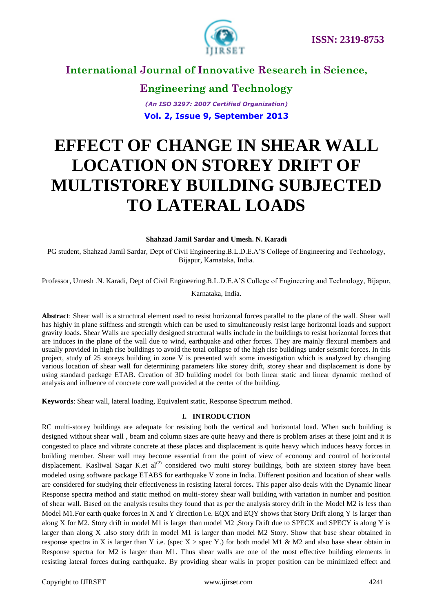

**Engineering and Technology** *(An ISO 3297: 2007 Certified Organization)* **Vol. 2, Issue 9, September 2013**

# **EFFECT OF CHANGE IN SHEAR WALL LOCATION ON STOREY DRIFT OF MULTISTOREY BUILDING SUBJECTED TO LATERAL LOADS**

#### **Shahzad Jamil Sardar and Umesh. N. Karadi**

PG student, Shahzad Jamil Sardar, Dept of Civil Engineering.B.L.D.E.A"S College of Engineering and Technology, Bijapur, Karnataka, India.

Professor, Umesh .N. Karadi, Dept of Civil Engineering.B.L.D.E.A"S College of Engineering and Technology, Bijapur,

Karnataka, India.

**Abstract**: Shear wall is a structural element used to resist horizontal forces parallel to the plane of the wall. Shear wall has highiy in plane stiffness and strength which can be used to simultaneously resist large horizontal loads and support gravity loads. Shear Walls are specially designed structural walls include in the buildings to resist horizontal forces that are induces in the plane of the wall due to wind, earthquake and other forces. They are mainly flexural members and usually provided in high rise buildings to avoid the total collapse of the high rise buildings under seismic forces. In this project, study of 25 storeys building in zone V is presented with some investigation which is analyzed by changing various location of shear wall for determining parameters like storey drift, storey shear and displacement is done by using standard package ETAB. Creation of 3D building model for both linear static and linear dynamic method of analysis and influence of concrete core wall provided at the center of the building.

**Keywords**: Shear wall, lateral loading, Equivalent static, Response Spectrum method.

#### **I. INTRODUCTION**

RC multi-storey buildings are adequate for resisting both the vertical and horizontal load. When such building is designed without shear wall , beam and column sizes are quite heavy and there is problem arises at these joint and it is congested to place and vibrate concrete at these places and displacement is quite heavy which induces heavy forces in building member. Shear wall may become essential from the point of view of economy and control of horizontal displacement. Kasliwal Sagar K.et al<sup>(2)</sup> considered two multi storey buildings, both are sixteen storey have been modeled using software package ETABS for earthquake V zone in India. Different position and location of shear walls are considered for studying their effectiveness in resisting lateral forces**.** This paper also deals with the Dynamic linear Response spectra method and static method on multi-storey shear wall building with variation in number and position of shear wall. Based on the analysis results they found that as per the analysis storey drift in the Model M2 is less than Model M1. For earth quake forces in X and Y direction i.e. EQX and EQY shows that Story Drift along Y is larger than along X for M2. Story drift in model M1 is larger than model M2 ,Story Drift due to SPECX and SPECY is along Y is larger than along X .also story drift in model M1 is larger than model M2 Story. Show that base shear obtained in response spectra in X is larger than Y i.e. (spec  $X >$  spec Y.) for both model M1 & M2 and also base shear obtain in Response spectra for M2 is larger than M1. Thus shear walls are one of the most effective building elements in resisting lateral forces during earthquake. By providing shear walls in proper position can be minimized effect and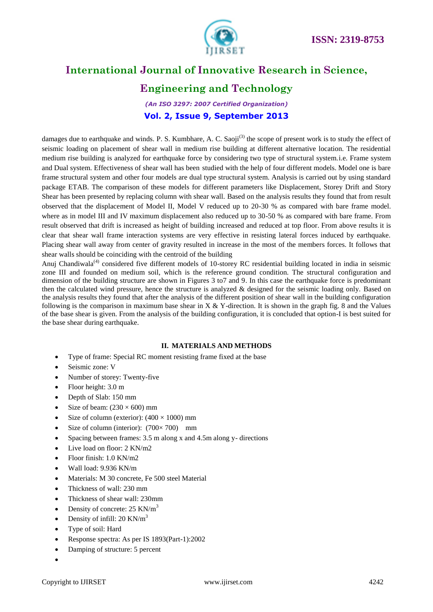

### **Engineering and Technology**

*(An ISO 3297: 2007 Certified Organization)* **Vol. 2, Issue 9, September 2013**

damages due to earthquake and winds. P. S. Kumbhare, A. C. Saoji<sup>(3)</sup> the scope of present work is to study the effect of seismic loading on placement of shear wall in medium rise building at different alternative location. The residential medium rise building is analyzed for earthquake force by considering two type of structural system.i.e. Frame system and Dual system. Effectiveness of shear wall has been studied with the help of four different models. Model one is bare frame structural system and other four models are dual type structural system. Analysis is carried out by using standard package ETAB. The comparison of these models for different parameters like Displacement, Storey Drift and Story Shear has been presented by replacing column with shear wall. Based on the analysis results they found that from result observed that the displacement of Model II, Model V reduced up to 20-30 % as compared with bare frame model. where as in model III and IV maximum displacement also reduced up to 30-50 % as compared with bare frame. From result observed that drift is increased as height of building increased and reduced at top floor. From above results it is clear that shear wall frame interaction systems are very effective in resisting lateral forces induced by earthquake. Placing shear wall away from center of gravity resulted in increase in the most of the members forces. It follows that shear walls should be coinciding with the centroid of the building

Anuj Chandiwala<sup>(4)</sup> considered five different models of 10-storey RC residential building located in india in seismic zone III and founded on medium soil, which is the reference ground condition. The structural configuration and dimension of the building structure are shown in Figures 3 to7 and 9. In this case the earthquake force is predominant then the calculated wind pressure, hence the structure is analyzed & designed for the seismic loading only. Based on the analysis results they found that after the analysis of the different position of shear wall in the building configuration following is the comparison in maximum base shear in  $X \& Y$ -direction. It is shown in the graph fig. 8 and the Values of the base shear is given. From the analysis of the building configuration, it is concluded that option-I is best suited for the base shear during earthquake.

#### **II. MATERIALS AND METHODS**

- Type of frame: Special RC moment resisting frame fixed at the base
- Seismic zone: V
- Number of storey: Twenty-five
- Floor height: 3.0 m
- Depth of Slab: 150 mm
- Size of beam:  $(230 \times 600)$  mm
- Size of column (exterior):  $(400 \times 1000)$  mm
- Size of column (interior):  $(700 \times 700)$  mm
- Spacing between frames: 3.5 m along x and 4.5m along y- directions
- Live load on floor: 2 KN/m2
- Floor finish: 1.0 KN/m2
- Wall load: 9.936 KN/m
- Materials: M 30 concrete, Fe 500 steel Material
- Thickness of wall: 230 mm
- Thickness of shear wall: 230mm
- Density of concrete: 25 KN/m<sup>3</sup>
- Density of infill: 20 KN/m<sup>3</sup>
- Type of soil: Hard
- Response spectra: As per IS 1893(Part-1):2002
- Damping of structure: 5 percent
- $\bullet$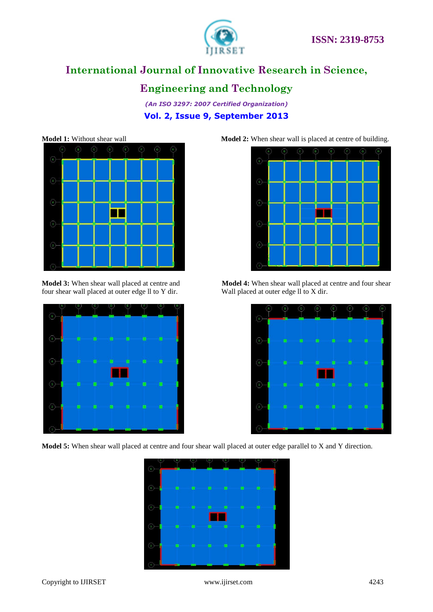

#### **Engineering and Technology**

*(An ISO 3297: 2007 Certified Organization)* **Vol. 2, Issue 9, September 2013**



four shear wall placed at outer edge ll to Y dir. Wall placed at outer edge ll to X dir.



**Model 5:** When shear wall placed at centre and four shear wall placed at outer edge parallel to X and Y direction.



**Model 1:** Without shear wall **Model 2:** When shear wall is placed at centre of building.





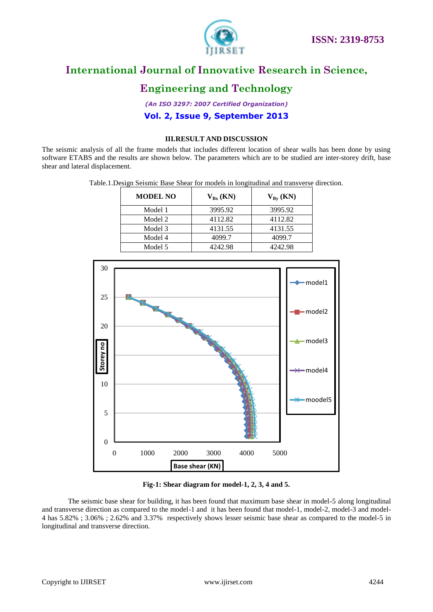

### **Engineering and Technology**

*(An ISO 3297: 2007 Certified Organization)* **Vol. 2, Issue 9, September 2013**

#### **III.RESULT AND DISCUSSION**

The seismic analysis of all the frame models that includes different location of shear walls has been done by using software ETABS and the results are shown below. The parameters which are to be studied are inter-storey drift, base shear and lateral displacement.

Table.1.Design Seismic Base Shear for models in longitudinal and transverse direction.

| <b>MODEL NO</b> | $V_{Bx}$ (KN) | $V_{Bv}$ (KN) |
|-----------------|---------------|---------------|
| Model 1         | 3995.92       | 3995.92       |
| Model 2         | 4112.82       | 4112.82       |
| Model 3         | 4131.55       | 4131.55       |
| Model 4         | 4099.7        | 4099.7        |
| Model 5         | 4242.98       | 4242.98       |



**Fig-1: Shear diagram for model-1, 2, 3, 4 and 5.**

The seismic base shear for building, it has been found that maximum base shear in model-5 along longitudinal and transverse direction as compared to the model-1 and it has been found that model-1, model-2, model-3 and model-4 has 5.82% ; 3.06% ; 2.62% and 3.37% respectively shows lesser seismic base shear as compared to the model-5 in longitudinal and transverse direction.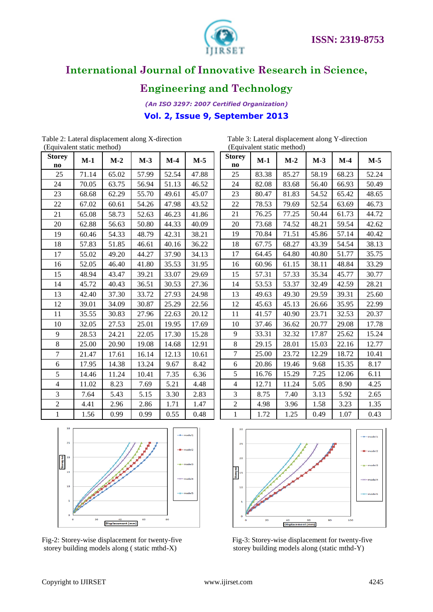

### **Engineering and Technology**

*(An ISO 3297: 2007 Certified Organization)* **Vol. 2, Issue 9, September 2013**

| (Equivalent static method) |       |       |       |       |       |  |
|----------------------------|-------|-------|-------|-------|-------|--|
| <b>Storey</b><br>no        | $M-1$ | $M-2$ | $M-3$ | $M-4$ | $M-5$ |  |
| 25                         | 71.14 | 65.02 | 57.99 | 52.54 | 47.88 |  |
| 24                         | 70.05 | 63.75 | 56.94 | 51.13 | 46.52 |  |
| 23                         | 68.68 | 62.29 | 55.70 | 49.61 | 45.07 |  |
| 22                         | 67.02 | 60.61 | 54.26 | 47.98 | 43.52 |  |
| 21                         | 65.08 | 58.73 | 52.63 | 46.23 | 41.86 |  |
| 20                         | 62.88 | 56.63 | 50.80 | 44.33 | 40.09 |  |
| 19                         | 60.46 | 54.33 | 48.79 | 42.31 | 38.21 |  |
| 18                         | 57.83 | 51.85 | 46.61 | 40.16 | 36.22 |  |
| 17                         | 55.02 | 49.20 | 44.27 | 37.90 | 34.13 |  |
| 16                         | 52.05 | 46.40 | 41.80 | 35.53 | 31.95 |  |
| 15                         | 48.94 | 43.47 | 39.21 | 33.07 | 29.69 |  |
| 14                         | 45.72 | 40.43 | 36.51 | 30.53 | 27.36 |  |
| 13                         | 42.40 | 37.30 | 33.72 | 27.93 | 24.98 |  |
| 12                         | 39.01 | 34.09 | 30.87 | 25.29 | 22.56 |  |
| 11                         | 35.55 | 30.83 | 27.96 | 22.63 | 20.12 |  |
| 10                         | 32.05 | 27.53 | 25.01 | 19.95 | 17.69 |  |
| 9                          | 28.53 | 24.21 | 22.05 | 17.30 | 15.28 |  |
| 8                          | 25.00 | 20.90 | 19.08 | 14.68 | 12.91 |  |
| 7                          | 21.47 | 17.61 | 16.14 | 12.13 | 10.61 |  |
| 6                          | 17.95 | 14.38 | 13.24 | 9.67  | 8.42  |  |
| 5                          | 14.46 | 11.24 | 10.41 | 7.35  | 6.36  |  |
| $\overline{4}$             | 11.02 | 8.23  | 7.69  | 5.21  | 4.48  |  |
| 3                          | 7.64  | 5.43  | 5.15  | 3.30  | 2.83  |  |
| $\overline{c}$             | 4.41  | 2.96  | 2.86  | 1.71  | 1.47  |  |
| $\mathbf{1}$               | 1.56  | 0.99  | 0.99  | 0.55  | 0.48  |  |

Table 2: Lateral displacement along X-direction (Equivalent static method) (Equivalent static method)

| Table 3: Lateral displacement along Y-direction |  |
|-------------------------------------------------|--|
| (Equivalent static method)                      |  |

| $M-2$ | $M-3$ | $M-4$ | $M-5$ |
|-------|-------|-------|-------|
| 85.27 | 58.19 | 68.23 | 52.24 |
| 83.68 | 56.40 | 66.93 | 50.49 |
| 81.83 | 54.52 | 65.42 | 48.65 |
| 79.69 | 52.54 | 63.69 | 46.73 |
| 77.25 | 50.44 | 61.73 | 44.72 |
| 74.52 | 48.21 | 59.54 | 42.62 |
| 71.51 | 45.86 | 57.14 | 40.42 |
| 68.27 | 43.39 | 54.54 | 38.13 |
| 64.80 | 40.80 | 51.77 | 35.75 |
| 61.15 | 38.11 | 48.84 | 33.29 |
| 57.33 | 35.34 | 45.77 | 30.77 |
| 53.37 | 32.49 | 42.59 | 28.21 |
| 49.30 | 29.59 | 39.31 | 25.60 |
| 45.13 | 26.66 | 35.95 | 22.99 |
| 40.90 | 23.71 | 32.53 | 20.37 |
| 36.62 | 20.77 | 29.08 | 17.78 |
| 32.32 | 17.87 | 25.62 | 15.24 |
| 28.01 | 15.03 | 22.16 | 12.77 |
| 23.72 | 12.29 | 18.72 | 10.41 |
| 19.46 | 9.68  | 15.35 | 8.17  |
| 15.29 | 7.25  | 12.06 | 6.11  |
| 11.24 | 5.05  | 8.90  | 4.25  |
| 7.40  | 3.13  | 5.92  | 2.65  |
| 3.96  | 1.58  | 3.23  | 1.35  |
| 1.25  | 0.49  | 1.07  | 0.43  |
|       |       |       |       |





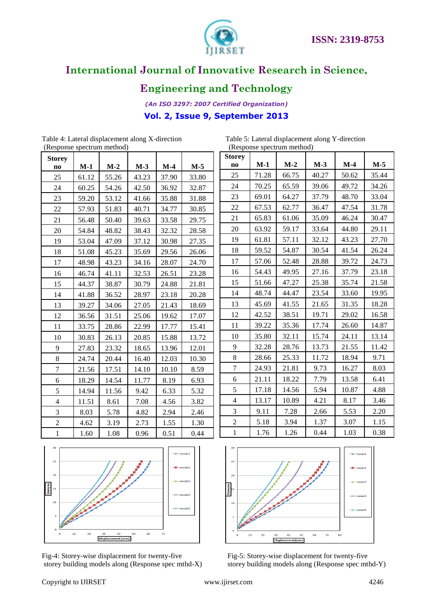

### **Engineering and Technology**

*(An ISO 3297: 2007 Certified Organization)* **Vol. 2, Issue 9, September 2013**

| <b>Storey</b>  |       |       |       |       |       |
|----------------|-------|-------|-------|-------|-------|
| no             | $M-1$ | $M-2$ | $M-3$ | $M-4$ | $M-5$ |
| 25             | 61.12 | 55.26 | 43.23 | 37.90 | 33.80 |
| 24             | 60.25 | 54.26 | 42.50 | 36.92 | 32.87 |
| 23             | 59.20 | 53.12 | 41.66 | 35.88 | 31.88 |
| 22             | 57.93 | 51.83 | 40.71 | 34.77 | 30.85 |
| 21             | 56.48 | 50.40 | 39.63 | 33.58 | 29.75 |
| 20             | 54.84 | 48.82 | 38.43 | 32.32 | 28.58 |
| 19             | 53.04 | 47.09 | 37.12 | 30.98 | 27.35 |
| 18             | 51.08 | 45.23 | 35.69 | 29.56 | 26.06 |
| 17             | 48.98 | 43.23 | 34.16 | 28.07 | 24.70 |
| 16             | 46.74 | 41.11 | 32.53 | 26.51 | 23.28 |
| 15             | 44.37 | 38.87 | 30.79 | 24.88 | 21.81 |
| 14             | 41.88 | 36.52 | 28.97 | 23.18 | 20.28 |
| 13             | 39.27 | 34.06 | 27.05 | 21.43 | 18.69 |
| 12             | 36.56 | 31.51 | 25.06 | 19.62 | 17.07 |
| 11             | 33.75 | 28.86 | 22.99 | 17.77 | 15.41 |
| 10             | 30.83 | 26.13 | 20.85 | 15.88 | 13.72 |
| 9              | 27.83 | 23.32 | 18.65 | 13.96 | 12.01 |
| 8              | 24.74 | 20.44 | 16.40 | 12.03 | 10.30 |
| 7              | 21.56 | 17.51 | 14.10 | 10.10 | 8.59  |
| 6              | 18.29 | 14.54 | 11.77 | 8.19  | 6.93  |
| 5              | 14.94 | 11.56 | 9.42  | 6.33  | 5.32  |
| $\overline{4}$ | 11.51 | 8.61  | 7.08  | 4.56  | 3.82  |
| 3              | 8.03  | 5.78  | 4.82  | 2.94  | 2.46  |
| $\overline{c}$ | 4.62  | 3.19  | 2.73  | 1.55  | 1.30  |
|                |       |       |       |       |       |

| Table 4: Lateral displacement along X-direction | Table 5: Lateral displacement |
|-------------------------------------------------|-------------------------------|
| (Response spectrum method)                      | (Response spectrum method)    |

Table 4: Lateral displacement along X-direction Table 5: Lateral displacement along Y-direction

| (Response spectrum method) |       |       |       |       |       |  |  |
|----------------------------|-------|-------|-------|-------|-------|--|--|
| <b>Storey</b>              |       |       |       |       |       |  |  |
| no                         | $M-1$ | $M-2$ | $M-3$ | $M-4$ | M-5   |  |  |
| 25                         | 71.28 | 66.75 | 40.27 | 50.62 | 35.44 |  |  |
| 24                         | 70.25 | 65.59 | 39.06 | 49.72 | 34.26 |  |  |
| 23                         | 69.01 | 64.27 | 37.79 | 48.70 | 33.04 |  |  |
| 22                         | 67.53 | 62.77 | 36.47 | 47.54 | 31.78 |  |  |
| 21                         | 65.83 | 61.06 | 35.09 | 46.24 | 30.47 |  |  |
| 20                         | 63.92 | 59.17 | 33.64 | 44.80 | 29.11 |  |  |
| 19                         | 61.81 | 57.11 | 32.12 | 43.23 | 27.70 |  |  |
| 18                         | 59.52 | 54.87 | 30.54 | 41.54 | 26.24 |  |  |
| 17                         | 57.06 | 52.48 | 28.88 | 39.72 | 24.73 |  |  |
| 16                         | 54.43 | 49.95 | 27.16 | 37.79 | 23.18 |  |  |
| 15                         | 51.66 | 47.27 | 25.38 | 35.74 | 21.58 |  |  |
| 14                         | 48.74 | 44.47 | 23.54 | 33.60 | 19.95 |  |  |
| 13                         | 45.69 | 41.55 | 21.65 | 31.35 | 18.28 |  |  |
| 12                         | 42.52 | 38.51 | 19.71 | 29.02 | 16.58 |  |  |
| 11                         | 39.22 | 35.36 | 17.74 | 26.60 | 14.87 |  |  |
| 10                         | 35.80 | 32.11 | 15.74 | 24.11 | 13.14 |  |  |
| 9                          | 32.28 | 28.76 | 13.73 | 21.55 | 11.42 |  |  |
| 8                          | 28.66 | 25.33 | 11.72 | 18.94 | 9.71  |  |  |
| 7                          | 24.93 | 21.81 | 9.73  | 16.27 | 8.03  |  |  |
| 6                          | 21.11 | 18.22 | 7.79  | 13.58 | 6.41  |  |  |
| 5                          | 17.18 | 14.56 | 5.94  | 10.87 | 4.88  |  |  |
| $\overline{4}$             | 13.17 | 10.89 | 4.21  | 8.17  | 3.46  |  |  |
| 3                          | 9.11  | 7.28  | 2.66  | 5.53  | 2.20  |  |  |
| $\overline{2}$             | 5.18  | 3.94  | 1.37  | 3.07  | 1.15  |  |  |
| $\mathbf{1}$               | 1.76  | 1.26  | 0.44  | 1.03  | 0.38  |  |  |







storey building models along (Response spec mthd-X) storey building models along (Response spec mthd-Y)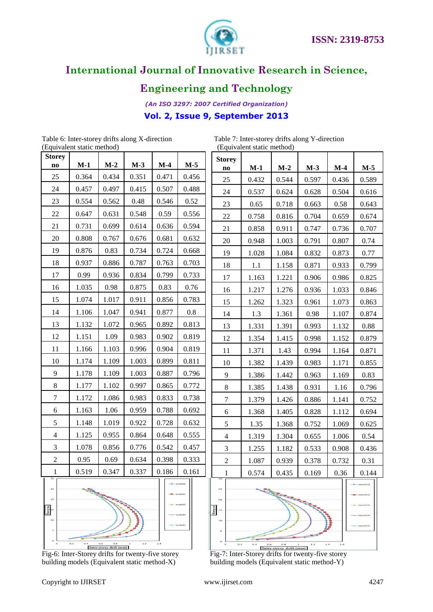

## **Engineering and Technology**

*(An ISO 3297: 2007 Certified Organization)* **Vol. 2, Issue 9, September 2013**

Table 6: Inter-storey drifts along X-direction Table 7: Inter-storey drifts along Y-direction<br>
(Equivalent static method) (Equivalent static method) (Equivalent static method) (Equivalent static method)

| <b>Storey</b><br>$M-2$<br>$M-3$<br>$M-5$<br>$M-1$<br>$M-4$<br>no<br>25<br>0.434<br>0.351<br>0.364<br>0.471<br>0.456<br>24<br>0.457<br>0.497<br>0.415<br>0.507<br>0.488<br>23<br>0.554<br>0.562<br>0.48<br>0.546<br>0.52<br>22<br>0.647<br>0.631<br>0.548<br>0.59<br>0.556<br>0.699<br>21<br>0.731<br>0.614<br>0.636<br>0.594<br>20<br>0.808<br>0.767<br>0.676<br>0.681<br>0.632<br>19<br>0.734<br>0.724<br>0.876<br>0.83<br>0.668<br>18<br>0.937<br>0.886<br>0.787<br>0.763<br>0.703<br>17<br>0.936<br>0.99<br>0.834<br>0.799<br>0.733<br>16<br>1.035<br>0.98<br>0.76<br>0.875<br>0.83<br>15<br>1.017<br>1.074<br>0.911<br>0.856<br>0.783<br>14<br>1.106<br>1.047<br>0.941<br>0.877<br>0.8<br>13<br>1.132<br>1.072<br>0.965<br>0.892<br>0.813<br>12<br>1.151<br>1.09<br>0.983<br>0.902<br>0.819<br>11<br>1.103<br>0.904<br>0.819<br>1.166<br>0.996<br>10<br>1.109<br>1.174<br>1.003<br>0.899<br>0.811<br>9<br>1.109<br>1.178<br>1.003<br>0.796<br>0.887<br>8<br>1.177<br>1.102<br>0.865<br>0.772<br>0.997<br>7<br>1.172<br>1.086<br>0.983<br>0.833<br>0.738<br>1.06<br>6<br>1.163<br>0.959<br>0.788<br>0.692<br>5<br>1.148<br>1.019<br>0.922<br>0.728<br>0.632<br>$\overline{4}$<br>1.125<br>0.955<br>0.864<br>0.648<br>0.555<br>3<br>1.078<br>0.856<br>0.542<br>0.776<br>0.457<br>$\overline{c}$<br>0.95<br>0.634<br>0.398<br>0.333<br>0.69<br>0.337<br>0.519<br>0.347<br>0.186<br>1<br>0.161<br>models<br>25<br>20<br>10<br>nodels<br>s<br>$\alpha$<br>O.2<br>O.B<br>1.2<br>1.4 |  | (Equivalent static method) |  |  |  |  |
|-----------------------------------------------------------------------------------------------------------------------------------------------------------------------------------------------------------------------------------------------------------------------------------------------------------------------------------------------------------------------------------------------------------------------------------------------------------------------------------------------------------------------------------------------------------------------------------------------------------------------------------------------------------------------------------------------------------------------------------------------------------------------------------------------------------------------------------------------------------------------------------------------------------------------------------------------------------------------------------------------------------------------------------------------------------------------------------------------------------------------------------------------------------------------------------------------------------------------------------------------------------------------------------------------------------------------------------------------------------------------------------------------------------------------------------------------------------------------------------|--|----------------------------|--|--|--|--|
|                                                                                                                                                                                                                                                                                                                                                                                                                                                                                                                                                                                                                                                                                                                                                                                                                                                                                                                                                                                                                                                                                                                                                                                                                                                                                                                                                                                                                                                                                   |  |                            |  |  |  |  |
|                                                                                                                                                                                                                                                                                                                                                                                                                                                                                                                                                                                                                                                                                                                                                                                                                                                                                                                                                                                                                                                                                                                                                                                                                                                                                                                                                                                                                                                                                   |  |                            |  |  |  |  |
|                                                                                                                                                                                                                                                                                                                                                                                                                                                                                                                                                                                                                                                                                                                                                                                                                                                                                                                                                                                                                                                                                                                                                                                                                                                                                                                                                                                                                                                                                   |  |                            |  |  |  |  |
|                                                                                                                                                                                                                                                                                                                                                                                                                                                                                                                                                                                                                                                                                                                                                                                                                                                                                                                                                                                                                                                                                                                                                                                                                                                                                                                                                                                                                                                                                   |  |                            |  |  |  |  |
|                                                                                                                                                                                                                                                                                                                                                                                                                                                                                                                                                                                                                                                                                                                                                                                                                                                                                                                                                                                                                                                                                                                                                                                                                                                                                                                                                                                                                                                                                   |  |                            |  |  |  |  |
|                                                                                                                                                                                                                                                                                                                                                                                                                                                                                                                                                                                                                                                                                                                                                                                                                                                                                                                                                                                                                                                                                                                                                                                                                                                                                                                                                                                                                                                                                   |  |                            |  |  |  |  |
|                                                                                                                                                                                                                                                                                                                                                                                                                                                                                                                                                                                                                                                                                                                                                                                                                                                                                                                                                                                                                                                                                                                                                                                                                                                                                                                                                                                                                                                                                   |  |                            |  |  |  |  |
|                                                                                                                                                                                                                                                                                                                                                                                                                                                                                                                                                                                                                                                                                                                                                                                                                                                                                                                                                                                                                                                                                                                                                                                                                                                                                                                                                                                                                                                                                   |  |                            |  |  |  |  |
|                                                                                                                                                                                                                                                                                                                                                                                                                                                                                                                                                                                                                                                                                                                                                                                                                                                                                                                                                                                                                                                                                                                                                                                                                                                                                                                                                                                                                                                                                   |  |                            |  |  |  |  |
|                                                                                                                                                                                                                                                                                                                                                                                                                                                                                                                                                                                                                                                                                                                                                                                                                                                                                                                                                                                                                                                                                                                                                                                                                                                                                                                                                                                                                                                                                   |  |                            |  |  |  |  |
|                                                                                                                                                                                                                                                                                                                                                                                                                                                                                                                                                                                                                                                                                                                                                                                                                                                                                                                                                                                                                                                                                                                                                                                                                                                                                                                                                                                                                                                                                   |  |                            |  |  |  |  |
|                                                                                                                                                                                                                                                                                                                                                                                                                                                                                                                                                                                                                                                                                                                                                                                                                                                                                                                                                                                                                                                                                                                                                                                                                                                                                                                                                                                                                                                                                   |  |                            |  |  |  |  |
|                                                                                                                                                                                                                                                                                                                                                                                                                                                                                                                                                                                                                                                                                                                                                                                                                                                                                                                                                                                                                                                                                                                                                                                                                                                                                                                                                                                                                                                                                   |  |                            |  |  |  |  |
|                                                                                                                                                                                                                                                                                                                                                                                                                                                                                                                                                                                                                                                                                                                                                                                                                                                                                                                                                                                                                                                                                                                                                                                                                                                                                                                                                                                                                                                                                   |  |                            |  |  |  |  |
|                                                                                                                                                                                                                                                                                                                                                                                                                                                                                                                                                                                                                                                                                                                                                                                                                                                                                                                                                                                                                                                                                                                                                                                                                                                                                                                                                                                                                                                                                   |  |                            |  |  |  |  |
|                                                                                                                                                                                                                                                                                                                                                                                                                                                                                                                                                                                                                                                                                                                                                                                                                                                                                                                                                                                                                                                                                                                                                                                                                                                                                                                                                                                                                                                                                   |  |                            |  |  |  |  |
|                                                                                                                                                                                                                                                                                                                                                                                                                                                                                                                                                                                                                                                                                                                                                                                                                                                                                                                                                                                                                                                                                                                                                                                                                                                                                                                                                                                                                                                                                   |  |                            |  |  |  |  |
|                                                                                                                                                                                                                                                                                                                                                                                                                                                                                                                                                                                                                                                                                                                                                                                                                                                                                                                                                                                                                                                                                                                                                                                                                                                                                                                                                                                                                                                                                   |  |                            |  |  |  |  |
|                                                                                                                                                                                                                                                                                                                                                                                                                                                                                                                                                                                                                                                                                                                                                                                                                                                                                                                                                                                                                                                                                                                                                                                                                                                                                                                                                                                                                                                                                   |  |                            |  |  |  |  |
|                                                                                                                                                                                                                                                                                                                                                                                                                                                                                                                                                                                                                                                                                                                                                                                                                                                                                                                                                                                                                                                                                                                                                                                                                                                                                                                                                                                                                                                                                   |  |                            |  |  |  |  |
|                                                                                                                                                                                                                                                                                                                                                                                                                                                                                                                                                                                                                                                                                                                                                                                                                                                                                                                                                                                                                                                                                                                                                                                                                                                                                                                                                                                                                                                                                   |  |                            |  |  |  |  |
|                                                                                                                                                                                                                                                                                                                                                                                                                                                                                                                                                                                                                                                                                                                                                                                                                                                                                                                                                                                                                                                                                                                                                                                                                                                                                                                                                                                                                                                                                   |  |                            |  |  |  |  |
|                                                                                                                                                                                                                                                                                                                                                                                                                                                                                                                                                                                                                                                                                                                                                                                                                                                                                                                                                                                                                                                                                                                                                                                                                                                                                                                                                                                                                                                                                   |  |                            |  |  |  |  |
|                                                                                                                                                                                                                                                                                                                                                                                                                                                                                                                                                                                                                                                                                                                                                                                                                                                                                                                                                                                                                                                                                                                                                                                                                                                                                                                                                                                                                                                                                   |  |                            |  |  |  |  |
|                                                                                                                                                                                                                                                                                                                                                                                                                                                                                                                                                                                                                                                                                                                                                                                                                                                                                                                                                                                                                                                                                                                                                                                                                                                                                                                                                                                                                                                                                   |  |                            |  |  |  |  |
|                                                                                                                                                                                                                                                                                                                                                                                                                                                                                                                                                                                                                                                                                                                                                                                                                                                                                                                                                                                                                                                                                                                                                                                                                                                                                                                                                                                                                                                                                   |  |                            |  |  |  |  |
| Inter-storey drift (mm)                                                                                                                                                                                                                                                                                                                                                                                                                                                                                                                                                                                                                                                                                                                                                                                                                                                                                                                                                                                                                                                                                                                                                                                                                                                                                                                                                                                                                                                           |  |                            |  |  |  |  |

building models (Equivalent static method-X) building models (Equivalent static method-Y)

| <b>Storey</b>            |       |       |       |       |       |
|--------------------------|-------|-------|-------|-------|-------|
| $\bf{no}$                | $M-1$ | $M-2$ | $M-3$ | $M-4$ | $M-5$ |
| 25                       | 0.432 | 0.544 | 0.597 | 0.436 | 0.589 |
| 24                       | 0.537 | 0.624 | 0.628 | 0.504 | 0.616 |
| 23                       | 0.65  | 0.718 | 0.663 | 0.58  | 0.643 |
| 22                       | 0.758 | 0.816 | 0.704 | 0.659 | 0.674 |
| 21                       | 0.858 | 0.911 | 0.747 | 0.736 | 0.707 |
| 20                       | 0.948 | 1.003 | 0.791 | 0.807 | 0.74  |
| 19                       | 1.028 | 1.084 | 0.832 | 0.873 | 0.77  |
| 18                       | 1.1   | 1.158 | 0.871 | 0.933 | 0.799 |
| 17                       | 1.163 | 1.221 | 0.906 | 0.986 | 0.825 |
| 16                       | 1.217 | 1.276 | 0.936 | 1.033 | 0.846 |
| 15                       | 1.262 | 1.323 | 0.961 | 1.073 | 0.863 |
| 14                       | 1.3   | 1.361 | 0.98  | 1.107 | 0.874 |
| 13                       | 1.331 | 1.391 | 0.993 | 1.132 | 0.88  |
| 12                       | 1.354 | 1.415 | 0.998 | 1.152 | 0.879 |
| 11                       | 1.371 | 1.43  | 0.994 | 1.164 | 0.871 |
| 10                       | 1.382 | 1.439 | 0.983 | 1.171 | 0.855 |
| 9                        | 1.386 | 1.442 | 0.963 | 1.169 | 0.83  |
| 8                        | 1.385 | 1.438 | 0.931 | 1.16  | 0.796 |
| 7                        | 1.379 | 1.426 | 0.886 | 1.141 | 0.752 |
| 6                        | 1.368 | 1.405 | 0.828 | 1.112 | 0.694 |
| 5                        | 1.35  | 1.368 | 0.752 | 1.069 | 0.625 |
| $\overline{\mathcal{L}}$ | 1.319 | 1.304 | 0.655 | 1.006 | 0.54  |
| 3                        | 1.255 | 1.182 | 0.533 | 0.908 | 0.436 |
| $\overline{c}$           | 1.087 | 0.939 | 0.378 | 0.732 | 0.31  |
| 1                        | 0.574 | 0.435 | 0.169 | 0.36  | 0.144 |

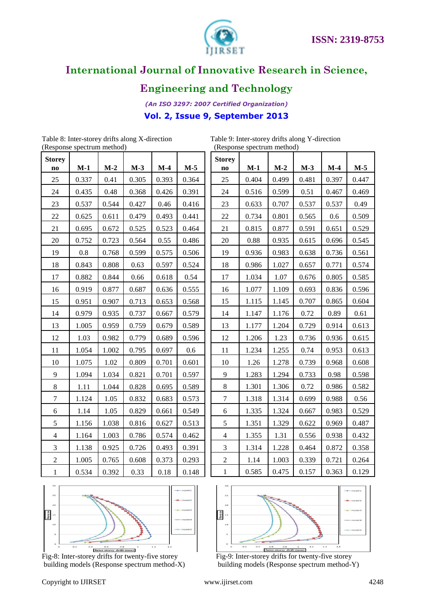

### **Engineering and Technology**

*(An ISO 3297: 2007 Certified Organization)* **Vol. 2, Issue 9, September 2013**

(Response spectrum method) (Response spectrum method)

Table 8: Inter-storey drifts along X-direction Table 9: Inter-storey drifts along Y-direction<br>
(Response spectrum method) (Response spectrum method)

| <b>Storey</b><br>n <sub>0</sub> | $M-1$ | $M-2$ | $M-3$ | $M-4$ | $M-5$ |
|---------------------------------|-------|-------|-------|-------|-------|
| 25                              | 0.337 | 0.41  | 0.305 | 0.393 | 0.364 |
| 24                              | 0.435 | 0.48  | 0.368 | 0.426 | 0.391 |
| 23                              | 0.537 | 0.544 | 0.427 | 0.46  | 0.416 |
| 22                              | 0.625 | 0.611 | 0.479 | 0.493 | 0.441 |
| 21                              | 0.695 | 0.672 | 0.525 | 0.523 | 0.464 |
| 20                              | 0.752 | 0.723 | 0.564 | 0.55  | 0.486 |
| 19                              | 0.8   | 0.768 | 0.599 | 0.575 | 0.506 |
| 18                              | 0.843 | 0.808 | 0.63  | 0.597 | 0.524 |
| 17                              | 0.882 | 0.844 | 0.66  | 0.618 | 0.54  |
| 16                              | 0.919 | 0.877 | 0.687 | 0.636 | 0.555 |
| 15                              | 0.951 | 0.907 | 0.713 | 0.653 | 0.568 |
| 14                              | 0.979 | 0.935 | 0.737 | 0.667 | 0.579 |
| 13                              | 1.005 | 0.959 | 0.759 | 0.679 | 0.589 |
| 12                              | 1.03  | 0.982 | 0.779 | 0.689 | 0.596 |
| 11                              | 1.054 | 1.002 | 0.795 | 0.697 | 0.6   |
| 10                              | 1.075 | 1.02  | 0.809 | 0.701 | 0.601 |
| 9                               | 1.094 | 1.034 | 0.821 | 0.701 | 0.597 |
| 8                               | 1.11  | 1.044 | 0.828 | 0.695 | 0.589 |
| 7                               | 1.124 | 1.05  | 0.832 | 0.683 | 0.573 |
| 6                               | 1.14  | 1.05  | 0.829 | 0.661 | 0.549 |
| 5                               | 1.156 | 1.038 | 0.816 | 0.627 | 0.513 |
| $\overline{4}$                  | 1.164 | 1.003 | 0.786 | 0.574 | 0.462 |
| 3                               | 1.138 | 0.925 | 0.726 | 0.493 | 0.391 |
| $\overline{2}$                  | 1.005 | 0.765 | 0.608 | 0.373 | 0.293 |
| $\mathbf{1}$                    | 0.534 | 0.392 | 0.33  | 0.18  | 0.148 |

| $(n \omega)$   |       |       |       |       |       |  |  |
|----------------|-------|-------|-------|-------|-------|--|--|
| <b>Storey</b>  |       |       |       |       |       |  |  |
| no             | $M-1$ | $M-2$ | $M-3$ | $M-4$ | $M-5$ |  |  |
| 25             | 0.404 | 0.499 | 0.481 | 0.397 | 0.447 |  |  |
| 24             | 0.516 | 0.599 | 0.51  | 0.467 | 0.469 |  |  |
| 23             | 0.633 | 0.707 | 0.537 | 0.537 | 0.49  |  |  |
| 22             | 0.734 | 0.801 | 0.565 | 0.6   | 0.509 |  |  |
| 21             | 0.815 | 0.877 | 0.591 | 0.651 | 0.529 |  |  |
| 20             | 0.88  | 0.935 | 0.615 | 0.696 | 0.545 |  |  |
| 19             | 0.936 | 0.983 | 0.638 | 0.736 | 0.561 |  |  |
| 18             | 0.986 | 1.027 | 0.657 | 0.771 | 0.574 |  |  |
| 17             | 1.034 | 1.07  | 0.676 | 0.805 | 0.585 |  |  |
| 16             | 1.077 | 1.109 | 0.693 | 0.836 | 0.596 |  |  |
| 15             | 1.115 | 1.145 | 0.707 | 0.865 | 0.604 |  |  |
| 14             | 1.147 | 1.176 | 0.72  | 0.89  | 0.61  |  |  |
| 13             | 1.177 | 1.204 | 0.729 | 0.914 | 0.613 |  |  |
| 12             | 1.206 | 1.23  | 0.736 | 0.936 | 0.615 |  |  |
| 11             | 1.234 | 1.255 | 0.74  | 0.953 | 0.613 |  |  |
| 10             | 1.26  | 1.278 | 0.739 | 0.968 | 0.608 |  |  |
| 9              | 1.283 | 1.294 | 0.733 | 0.98  | 0.598 |  |  |
| 8              | 1.301 | 1.306 | 0.72  | 0.986 | 0.582 |  |  |
| 7              | 1.318 | 1.314 | 0.699 | 0.988 | 0.56  |  |  |
| 6              | 1.335 | 1.324 | 0.667 | 0.983 | 0.529 |  |  |
| 5              | 1.351 | 1.329 | 0.622 | 0.969 | 0.487 |  |  |
| $\overline{4}$ | 1.355 | 1.31  | 0.556 | 0.938 | 0.432 |  |  |
| 3              | 1.314 | 1.228 | 0.464 | 0.872 | 0.358 |  |  |
| 2              | 1.14  | 1.003 | 0.339 | 0.721 | 0.264 |  |  |
| $\mathbf{1}$   | 0.585 | 0.475 | 0.157 | 0.363 | 0.129 |  |  |



Fig-8: Inter-storey drifts for twenty-five storey Fig-9: Inter-storey drifts for twenty-five storey



building models (Response spectrum method-X) building models (Response spectrum method-Y)